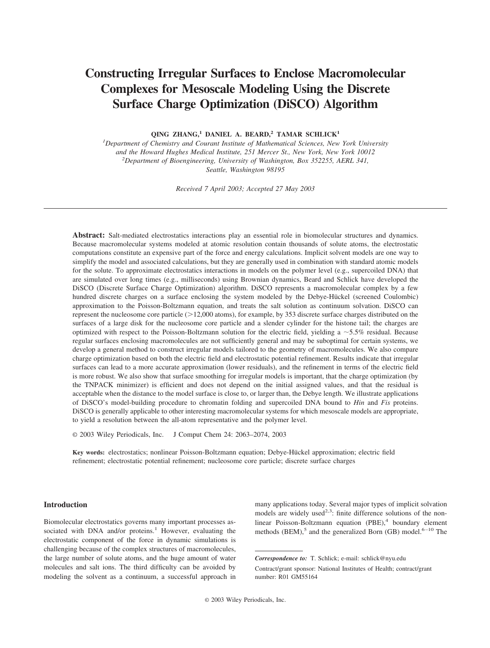# **Constructing Irregular Surfaces to Enclose Macromolecular Complexes for Mesoscale Modeling Using the Discrete Surface Charge Optimization (DiSCO) Algorithm**

**QING ZHANG,<sup>1</sup> DANIEL A. BEARD,<sup>2</sup> TAMAR SCHLICK<sup>1</sup>**

*1 Department of Chemistry and Courant Institute of Mathematical Sciences, New York University and the Howard Hughes Medical Institute, 251 Mercer St., New York, New York 10012 <sup>2</sup> Department of Bioengineering, University of Washington, Box 352255, AERL 341, Seattle, Washington 98195*

*Received 7 April 2003; Accepted 27 May 2003*

**Abstract:** Salt-mediated electrostatics interactions play an essential role in biomolecular structures and dynamics. Because macromolecular systems modeled at atomic resolution contain thousands of solute atoms, the electrostatic computations constitute an expensive part of the force and energy calculations. Implicit solvent models are one way to simplify the model and associated calculations, but they are generally used in combination with standard atomic models for the solute. To approximate electrostatics interactions in models on the polymer level (e.g., supercoiled DNA) that are simulated over long times (e.g., milliseconds) using Brownian dynamics, Beard and Schlick have developed the DiSCO (Discrete Surface Charge Optimization) algorithm. DiSCO represents a macromolecular complex by a few hundred discrete charges on a surface enclosing the system modeled by the Debye-Hückel (screened Coulombic) approximation to the Poisson-Boltzmann equation, and treats the salt solution as continuum solvation. DiSCO can represent the nucleosome core particle  $(>12,000$  atoms), for example, by 353 discrete surface charges distributed on the surfaces of a large disk for the nucleosome core particle and a slender cylinder for the histone tail; the charges are optimized with respect to the Poisson-Boltzmann solution for the electric field, yielding a  $\sim$  5.5% residual. Because regular surfaces enclosing macromolecules are not sufficiently general and may be suboptimal for certain systems, we develop a general method to construct irregular models tailored to the geometry of macromolecules. We also compare charge optimization based on both the electric field and electrostatic potential refinement. Results indicate that irregular surfaces can lead to a more accurate approximation (lower residuals), and the refinement in terms of the electric field is more robust. We also show that surface smoothing for irregular models is important, that the charge optimization (by the TNPACK minimizer) is efficient and does not depend on the initial assigned values, and that the residual is acceptable when the distance to the model surface is close to, or larger than, the Debye length. We illustrate applications of DiSCO's model-building procedure to chromatin folding and supercoiled DNA bound to *Hin* and *Fis* proteins. DiSCO is generally applicable to other interesting macromolecular systems for which mesoscale models are appropriate, to yield a resolution between the all-atom representative and the polymer level.

© 2003 Wiley Periodicals, Inc. J Comput Chem 24: 2063–2074, 2003

**Key words:** electrostatics; nonlinear Poisson-Boltzmann equation; Debye-Hückel approximation; electric field refinement; electrostatic potential refinement; nucleosome core particle; discrete surface charges

#### **Introduction**

Biomolecular electrostatics governs many important processes associated with DNA and/or proteins.<sup>1</sup> However, evaluating the electrostatic component of the force in dynamic simulations is challenging because of the complex structures of macromolecules, the large number of solute atoms, and the huge amount of water molecules and salt ions. The third difficulty can be avoided by modeling the solvent as a continuum, a successful approach in many applications today. Several major types of implicit solvation models are widely used<sup>2,3</sup>: finite difference solutions of the nonlinear Poisson-Boltzmann equation  $(PBE)$ ,<sup>4</sup> boundary element methods  $(BEM)$ ,<sup>5</sup> and the generalized Born (GB) model.<sup>6–10</sup> The

*Correspondence to:* T. Schlick; e-mail: schlick@nyu.edu

Contract/grant sponsor: National Institutes of Health; contract/grant number: R01 GM55164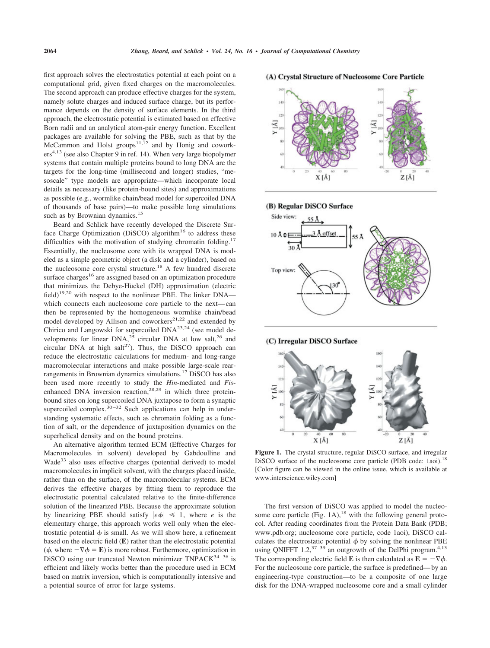first approach solves the electrostatics potential at each point on a computational grid, given fixed charges on the macromolecules. The second approach can produce effective charges for the system, namely solute charges and induced surface charge, but its performance depends on the density of surface elements. In the third approach, the electrostatic potential is estimated based on effective Born radii and an analytical atom-pair energy function. Excellent packages are available for solving the PBE, such as that by the  $McCammon$  and Holst groups<sup>11,12</sup> and by Honig and coworkers4,13 (see also Chapter 9 in ref. 14). When very large biopolymer systems that contain multiple proteins bound to long DNA are the targets for the long-time (millisecond and longer) studies, "mesoscale" type models are appropriate—which incorporate local details as necessary (like protein-bound sites) and approximations as possible (e.g., wormlike chain/bead model for supercoiled DNA of thousands of base pairs)—to make possible long simulations such as by Brownian dynamics.<sup>15</sup>

Beard and Schlick have recently developed the Discrete Surface Charge Optimization (DiSCO) algorithm<sup>16</sup> to address these difficulties with the motivation of studying chromatin folding.<sup>17</sup> Essentially, the nucleosome core with its wrapped DNA is modeled as a simple geometric object (a disk and a cylinder), based on the nucleosome core crystal structure.<sup>18</sup> A few hundred discrete surface charges<sup>16</sup> are assigned based on an optimization procedure that minimizes the Debye-Hückel (DH) approximation (electric field)<sup>19,20</sup> with respect to the nonlinear PBE. The linker DNA which connects each nucleosome core particle to the next—can then be represented by the homogeneous wormlike chain/bead model developed by Allison and coworkers<sup>21,22</sup> and extended by Chirico and Langowski for supercoiled DNA<sup>23,24</sup> (see model developments for linear DNA,<sup>25</sup> circular DNA at low salt,<sup>26</sup> and circular DNA at high salt<sup>27</sup>). Thus, the DiSCO approach can reduce the electrostatic calculations for medium- and long-range macromolecular interactions and make possible large-scale rearrangements in Brownian dynamics simulations.17 DiSCO has also been used more recently to study the *Hin*-mediated and *Fis*enhanced DNA inversion reaction, $28.29$  in which three proteinbound sites on long supercoiled DNA juxtapose to form a synaptic supercoiled complex. $30-32$  Such applications can help in understanding systematic effects, such as chromatin folding as a function of salt, or the dependence of juxtaposition dynamics on the superhelical density and on the bound proteins.

An alternative algorithm termed ECM (Effective Charges for Macromolecules in solvent) developed by Gabdoulline and Wade<sup>33</sup> also uses effective charges (potential derived) to model macromolecules in implicit solvent, with the charges placed inside, rather than on the surface, of the macromolecular systems. ECM derives the effective charges by fitting them to reproduce the electrostatic potential calculated relative to the finite-difference solution of the linearized PBE. Because the approximate solution by linearizing PBE should satisfy  $|e\phi| \ll 1$ , where *e* is the elementary charge, this approach works well only when the electrostatic potential  $\phi$  is small. As we will show here, a refinement based on the electric field (**E**) rather than the electrostatic potential ( $\phi$ , where  $-\nabla \phi = \mathbf{E}$ ) is more robust. Furthermore, optimization in DiSCO using our truncated Newton minimizer TNPACK<sup>34-36</sup> is efficient and likely works better than the procedure used in ECM based on matrix inversion, which is computationally intensive and a potential source of error for large systems.

## (A) Crystal Structure of Nucleosome Core Particle



(B) Regular DiSCO Surface



**Figure 1.** The crystal structure, regular DiSCO surface, and irregular DiSCO surface of the nucleosome core particle (PDB code: 1aoi).<sup>18</sup> [Color figure can be viewed in the online issue, which is available at www.interscience.wiley.com]

The first version of DiSCO was applied to model the nucleosome core particle (Fig. 1A), $^{18}$  with the following general protocol. After reading coordinates from the Protein Data Bank (PDB; www.pdb.org; nucleosome core particle, code 1aoi), DiSCO calculates the electrostatic potential  $\phi$  by solving the nonlinear PBE using QNIFFT  $1.2$ ,  $37-39$  an outgrowth of the DelPhi program.<sup>4,13</sup> The corresponding electric field **E** is then calculated as  $\mathbf{E} = -\nabla \phi$ . For the nucleosome core particle, the surface is predefined—by an engineering-type construction—to be a composite of one large disk for the DNA-wrapped nucleosome core and a small cylinder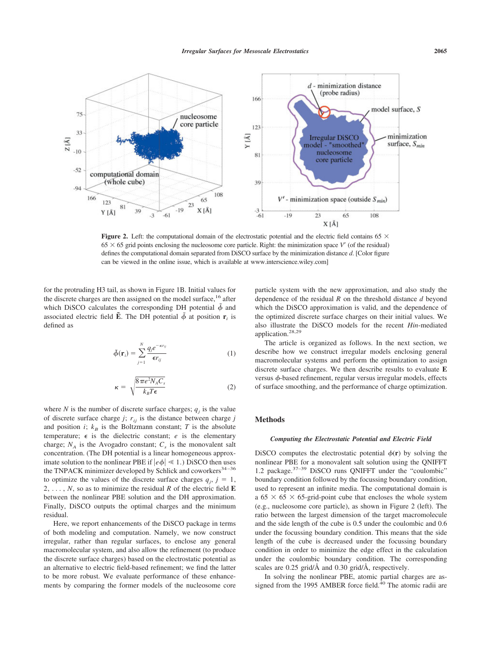

**Figure 2.** Left: the computational domain of the electrostatic potential and the electric field contains 65  $\times$  $65 \times 65$  grid points enclosing the nucleosome core particle. Right: the minimization space *V*<sup> $\prime$ </sup> (of the residual) defines the computational domain separated from DiSCO surface by the minimization distance *d*. [Color figure can be viewed in the online issue, which is available at www.interscience.wiley.com]

for the protruding H3 tail, as shown in Figure 1B. Initial values for the discrete charges are then assigned on the model surface,<sup>16</sup> after which DiSCO calculates the corresponding DH potential  $\tilde{\phi}$  and associated electric field  $\tilde{E}$ . The DH potential  $\tilde{\phi}$  at position **r**<sub>*i*</sub> is defined as

$$
\tilde{\phi}(\mathbf{r}_i) = \sum_{j=1}^{N} \frac{q_j e^{-\kappa r_{ij}}}{\epsilon r_{ij}} \tag{1}
$$

$$
\kappa = \sqrt{\frac{8\,\pi e^2 N_A C_s}{k_B T \epsilon}}\tag{2}
$$

where *N* is the number of discrete surface charges;  $q_i$  is the value of discrete surface charge *j*;  $r_{ij}$  is the distance between charge *j* and position *i*;  $k_B$  is the Boltzmann constant; *T* is the absolute temperature;  $\epsilon$  is the dielectric constant; *e* is the elementary charge;  $N_A$  is the Avogadro constant;  $C_s$  is the monovalent salt concentration. (The DH potential is a linear homogeneous approximate solution to the nonlinear PBE if  $|e\phi| \leq 1$ .) DiSCO then uses the TNPACK minimizer developed by Schlick and coworkers $34-36$ to optimize the values of the discrete surface charges  $q_j$ ,  $j = 1$ , 2,  $\ldots$ , *N*, so as to minimize the residual *R* of the electric field **E** between the nonlinear PBE solution and the DH approximation. Finally, DiSCO outputs the optimal charges and the minimum residual.

Here, we report enhancements of the DiSCO package in terms of both modeling and computation. Namely, we now construct irregular, rather than regular surfaces, to enclose any general macromolecular system, and also allow the refinement (to produce the discrete surface charges) based on the electrostatic potential as an alternative to electric field-based refinement; we find the latter to be more robust. We evaluate performance of these enhancements by comparing the former models of the nucleosome core particle system with the new approximation, and also study the dependence of the residual *R* on the threshold distance *d* beyond which the DiSCO approximation is valid, and the dependence of the optimized discrete surface charges on their initial values. We also illustrate the DiSCO models for the recent *Hin*-mediated application.28,29

The article is organized as follows. In the next section, we describe how we construct irregular models enclosing general macromolecular systems and perform the optimization to assign discrete surface charges. We then describe results to evaluate **E** versus  $\phi$ -based refinement, regular versus irregular models, effects of surface smoothing, and the performance of charge optimization.

## **Methods**

#### *Computing the Electrostatic Potential and Electric Field*

DiSCO computes the electrostatic potential  $\phi(\mathbf{r})$  by solving the nonlinear PBE for a monovalent salt solution using the QNIFFT 1.2 package.37–39 DiSCO runs QNIFFT under the "coulombic" boundary condition followed by the focussing boundary condition, used to represent an infinite media. The computational domain is a  $65 \times 65 \times 65$ -grid-point cube that encloses the whole system (e.g., nucleosome core particle), as shown in Figure 2 (left). The ratio between the largest dimension of the target macromolecule and the side length of the cube is 0.5 under the coulombic and 0.6 under the focussing boundary condition. This means that the side length of the cube is decreased under the focussing boundary condition in order to minimize the edge effect in the calculation under the coulombic boundary condition. The corresponding scales are 0.25 grid/Å and 0.30 grid/Å, respectively.

In solving the nonlinear PBE, atomic partial charges are assigned from the 1995 AMBER force field.<sup>40</sup> The atomic radii are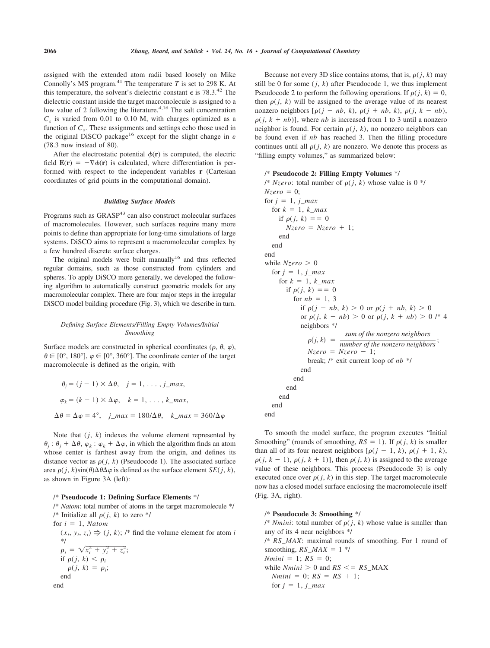assigned with the extended atom radii based loosely on Mike Connolly's MS program.<sup>41</sup> The temperature *T* is set to 298 K. At this temperature, the solvent's dielectric constant  $\epsilon$  is 78.3.<sup>42</sup> The dielectric constant inside the target macromolecule is assigned to a low value of 2 following the literature.<sup>4,16</sup> The salt concentration  $C_s$  is varied from 0.01 to 0.10 M, with charges optimized as a function of  $C_s$ . These assignments and settings echo those used in the original DiSCO package<sup>16</sup> except for the slight change in  $\varepsilon$ (78.3 now instead of 80).

After the electrostatic potential  $\phi(\mathbf{r})$  is computed, the electric field  $\mathbf{E}(\mathbf{r}) = -\nabla \phi(\mathbf{r})$  is calculated, where differentiation is performed with respect to the independent variables **r** (Cartesian coordinates of grid points in the computational domain).

#### *Building Surface Models*

Programs such as GRASP<sup>43</sup> can also construct molecular surfaces of macromolecules. However, such surfaces require many more points to define than appropriate for long-time simulations of large systems. DiSCO aims to represent a macromolecular complex by a few hundred discrete surface charges.

The original models were built manually<sup>16</sup> and thus reflected regular domains, such as those constructed from cylinders and spheres. To apply DiSCO more generally, we developed the following algorithm to automatically construct geometric models for any macromolecular complex. There are four major steps in the irregular DiSCO model building procedure (Fig. 3), which we describe in turn.

# *Defining Surface Elements/Filling Empty Volumes/Initial Smoothing*

Surface models are constructed in spherical coordinates ( $\rho$ ,  $\theta$ ,  $\varphi$ ),  $\theta \in [0^{\circ}, 180^{\circ}], \varphi \in [0^{\circ}, 360^{\circ}].$  The coordinate center of the target macromolecule is defined as the origin, with

$$
\theta_j = (j-1) \times \Delta \theta, \quad j = 1, \dots, j\_max,
$$
  
\n
$$
\varphi_k = (k-1) \times \Delta \varphi, \quad k = 1, \dots, k\_max,
$$
  
\n
$$
\Delta \theta = \Delta \varphi = 4^\circ, \quad j\_max = 180/\Delta \theta, \quad k\_max = 360/\Delta \varphi
$$

Note that  $(j, k)$  indexes the volume element represented by  $\theta_j$ :  $\theta_j + \Delta \theta$ ,  $\varphi_k$ :  $\varphi_k + \Delta \varphi$ , in which the algorithm finds an atom whose center is farthest away from the origin, and defines its distance vector as  $\rho(j, k)$  (Pseudocode 1). The associated surface area  $\rho(j, k) \sin(\theta) \Delta \theta \Delta \varphi$  is defined as the surface element *SE*(*j*, *k*), as shown in Figure 3A (left):

#### /\* **Pseudocode 1: Defining Surface Elements** \*/

/\* *Natom*: total number of atoms in the target macromolecule \*/ /\* Initialize all  $\rho(j, k)$  to zero \*/

for  $i = 1$ , *Natom* 

 $(x_i, y_i, z_i) \Rightarrow (j, k)$ ; /\* find the volume element for atom *i* \*/

$$
\rho_i = \sqrt{x_i^2 + y_i^2 + z_i^2};
$$
\n
$$
\text{if } \rho(j, k) < \rho_i
$$
\n
$$
\rho(j, k) = \rho_i;
$$
\n
$$
\text{end}
$$
\nend

Because not every 3D slice contains atoms, that is,  $\rho(j, k)$  may still be 0 for some  $(j, k)$  after Pseudocode 1, we thus implement Pseudocode 2 to perform the following operations. If  $\rho(j, k) = 0$ , then  $\rho(i, k)$  will be assigned to the average value of its nearest nonzero neighbors  $[\rho(j - nb, k), \rho(j + nb, k), \rho(j, k - nb),$  $\rho(j, k + nb)$ , where *nb* is increased from 1 to 3 until a nonzero neighbor is found. For certain  $\rho(j, k)$ , no nonzero neighbors can be found even if *nb* has reached 3. Then the filling procedure continues until all  $\rho(j, k)$  are nonzero. We denote this process as "filling empty volumes," as summarized below:

#### /\* **Pseudocode 2: Filling Empty Volumes** \*/

/\* *Nzero*: total number of  $\rho(j, k)$  whose value is 0 \*/  $Nzero = 0;$ for  $j = 1$ ,  $j$ *\_max* for  $k = 1$ ,  $k$  *max* if  $\rho(i, k) = 0$  $Nzero = Nzero + 1;$ end end end while  $N$ *zero*  $> 0$ for  $j = 1$ ,  $j_{max}$ for  $k = 1$ ,  $k\_max$ if  $\rho(j, k) = 0$ for  $nb = 1, 3$ if  $\rho(j - nb, k) > 0$  or  $\rho(j + nb, k) > 0$ or  $\rho(i, k - nb) > 0$  or  $\rho(i, k + nb) > 0$  /\* 4 neighbors \*/  $p(j, k) = \frac{sum\ of\ the\ nonzero\ neighbors}{number\ of\ the\ nonzero\ neighbors}$ ;  $Nzero = Nzero - 1;$ break; /\* exit current loop of *nb* \*/ end end end end end

end

To smooth the model surface, the program executes "Initial Smoothing" (rounds of smoothing,  $RS = 1$ ). If  $\rho(j, k)$  is smaller than all of its four nearest neighbors  $[\rho(j-1, k), \rho(j+1, k)]$ ,  $\rho(j, k-1), \rho(j, k+1)$ , then  $\rho(j, k)$  is assigned to the average value of these neighbors. This process (Pseudocode 3) is only executed once over  $\rho(j, k)$  in this step. The target macromolecule now has a closed model surface enclosing the macromolecule itself (Fig. 3A, right).

#### /\* **Pseudocode 3: Smoothing** \*/

/\* *Nmini*: total number of  $\rho(j, k)$  whose value is smaller than any of its 4 near neighbors \*/

/\* *RS*\_*MAX*: maximal rounds of smoothing. For 1 round of smoothing,  $RS\_MAX = 1$  \*/

 $Nmini = 1; RS = 0;$ while  $Nmini > 0$  and  $RS \leq RS_MAX$  $Nmini = 0$ ;  $RS = RS + 1$ ; for  $j = 1$ ,  $j$ *\_max*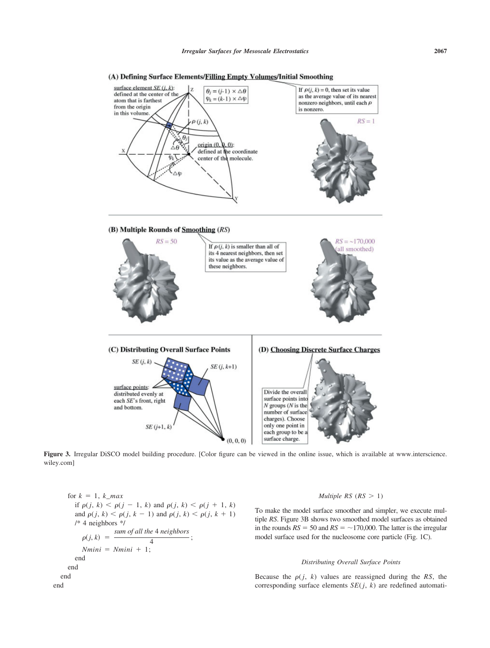





Figure 3. Irregular DiSCO model building procedure. [Color figure can be viewed in the online issue, which is available at www.interscience. wiley.com]

for  $k = 1$ ,  $k\_max$ if  $\rho(j, k) < \rho(j - 1, k)$  and  $\rho(j, k) < \rho(j + 1, k)$ and  $\rho(j, k) < \rho(j, k - 1)$  and  $\rho(j, k) < \rho(j, k + 1)$ /\* 4 neighbors \*/  $p(j, k) = \frac{\text{sum of all the 4 neighbors}}{4}$ *Nmini Nmini*  1; end end end end

### *Multiple RS*  $(RS > 1)$

To make the model surface smoother and simpler, we execute multiple *RS*. Figure 3B shows two smoothed model surfaces as obtained in the rounds  $RS = 50$  and  $RS = \sim 170,000$ . The latter is the irregular model surface used for the nucleosome core particle (Fig. 1C).

# *Distributing Overall Surface Points*

Because the  $\rho(j, k)$  values are reassigned during the *RS*, the corresponding surface elements  $SE(j, k)$  are redefined automati-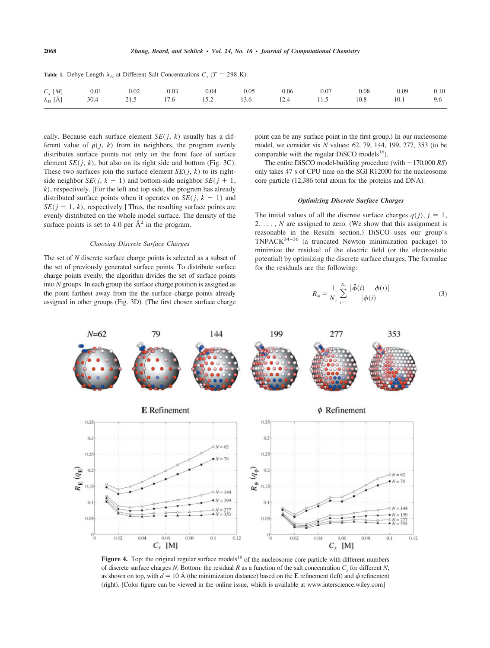|  | $C_s$ [ <i>M</i> ] 0.01 0.02 0.03 0.04 0.05 0.06 0.07 0.08 0.09 0.10 |  |  |  |  |
|--|----------------------------------------------------------------------|--|--|--|--|
|  | $\lambda_D$ [Å] 30.4 21.5 17.6 15.2 13.6 12.4 11.5 10.8 10.1 9.6     |  |  |  |  |

**Table 1.** Debye Length  $\lambda_D$  at Different Salt Concentrations  $C_s$  (*T* = 298 K).

cally. Because each surface element  $SE(j, k)$  usually has a different value of  $\rho(j, k)$  from its neighbors, the program evenly distributes surface points not only on the front face of surface element  $SE(j, k)$ , but also on its right side and bottom (Fig. 3C). These two surfaces join the surface element  $SE(j, k)$  to its rightside neighbor  $SE(j, k + 1)$  and bottom-side neighbor  $SE(j + 1)$ , *k*), respectively. [For the left and top side, the program has already distributed surface points when it operates on  $SE(j, k - 1)$  and  $SE(j - 1, k)$ , respectively.] Thus, the resulting surface points are evenly distributed on the whole model surface. The density of the surface points is set to 4.0 per  $A^2$  in the program.

#### *Choosing Discrete Surface Charges*

The set of *N* discrete surface charge points is selected as a subset of the set of previously generated surface points. To distribute surface charge points evenly, the algorithm divides the set of surface points into *N* groups. In each group the surface charge position is assigned as the point farthest away from the the surface charge points already assigned in other groups (Fig. 3D). (The first chosen surface charge

point can be any surface point in the first group.) In our nucleosome model, we consider six *N* values: 62, 79, 144, 199, 277, 353 (to be comparable with the regular DiSCO models<sup>16</sup>).

The entire DiSCO model-building procedure (with  $\sim$  170,000 *RS*) only takes 47 s of CPU time on the SGI R12000 for the nucleosome core particle (12,386 total atoms for the proteins and DNA).

#### *Optimizing Discrete Surface Charges*

The initial values of all the discrete surface charges  $q(j)$ ,  $j = 1$ , 2, . . . , *N* are assigned to zero. (We show that this assignment is reasonable in the Results section.) DiSCO uses our group's TNPACK34–36 (a truncated Newton minimization package) to minimize the residual of the electric field (or the electrostatic potential) by optimizing the discrete surface charges. The formulae for the residuals are the following:

$$
R_{\phi} = \frac{1}{N_v} \sum_{i=1}^{N_v} \frac{|\bar{\phi}(i) - \phi(i)|}{|\phi(i)|}
$$
(3)



**Figure 4.** Top: the original regular surface models<sup>16</sup> of the nucleosome core particle with different numbers of discrete surface charges *N*. Bottom: the residual *R* as a function of the salt concentration  $C_s$  for different *N*, as shown on top, with  $d = 10 \text{ Å}$  (the minimization distance) based on the **E** refinement (left) and  $\phi$  refinement (right). [Color figure can be viewed in the online issue, which is available at www.interscience.wiley.com]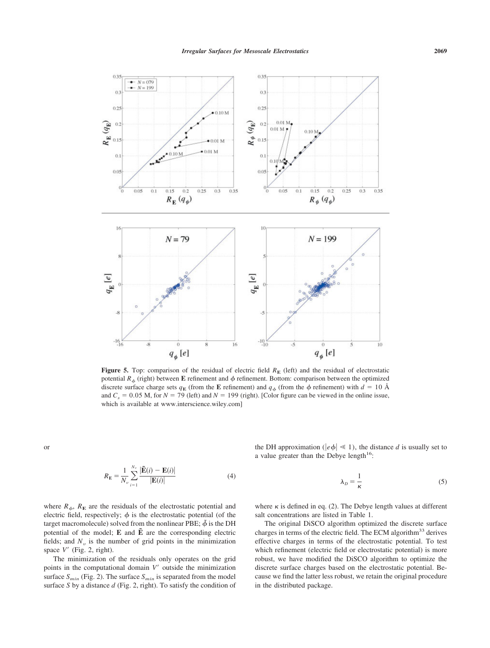

**Figure 5.** Top: comparison of the residual of electric field  $R<sub>E</sub>$  (left) and the residual of electrostatic potential  $R_{\phi}$  (right) between **E** refinement and  $\phi$  refinement. Bottom: comparison between the optimized discrete surface charge sets  $q_E$  (from the **E** refinement) and  $q_\phi$  (from the  $\phi$  refinement) with  $d = 10 \text{ Å}$ and  $C_s = 0.05$  M, for  $N = 79$  (left) and  $N = 199$  (right). [Color figure can be viewed in the online issue, which is available at www.interscience.wiley.com]

or

$$
R_{\mathbf{E}} = \frac{1}{N_v} \sum_{i=1}^{N_v} \frac{|\mathbf{\tilde{E}}(i) - \mathbf{E}(i)|}{|\mathbf{E}(i)|}
$$
(4)

where  $R_{\phi}$ ,  $R_{\rm E}$  are the residuals of the electrostatic potential and electric field, respectively;  $\phi$  is the electrostatic potential (of the target macromolecule) solved from the nonlinear PBE;  $\tilde{\phi}$  is the DH potential of the model;  $E$  and  $\tilde{E}$  are the corresponding electric fields; and  $N_v$  is the number of grid points in the minimization space  $V'$  (Fig. 2, right).

The minimization of the residuals only operates on the grid points in the computational domain *V'* outside the minimization surface  $S_{min}$  (Fig. 2). The surface  $S_{min}$  is separated from the model surface *S* by a distance *d* (Fig. 2, right). To satisfy the condition of

the DH approximation ( $|e\phi| \ll 1$ ), the distance *d* is usually set to a value greater than the Debye length<sup>16</sup>:

$$
\lambda_D = \frac{1}{\kappa} \tag{5}
$$

where  $\kappa$  is defined in eq. (2). The Debye length values at different salt concentrations are listed in Table 1.

The original DiSCO algorithm optimized the discrete surface charges in terms of the electric field. The ECM algorithm<sup>33</sup> derives effective charges in terms of the electrostatic potential. To test which refinement (electric field or electrostatic potential) is more robust, we have modified the DiSCO algorithm to optimize the discrete surface charges based on the electrostatic potential. Because we find the latter less robust, we retain the original procedure in the distributed package.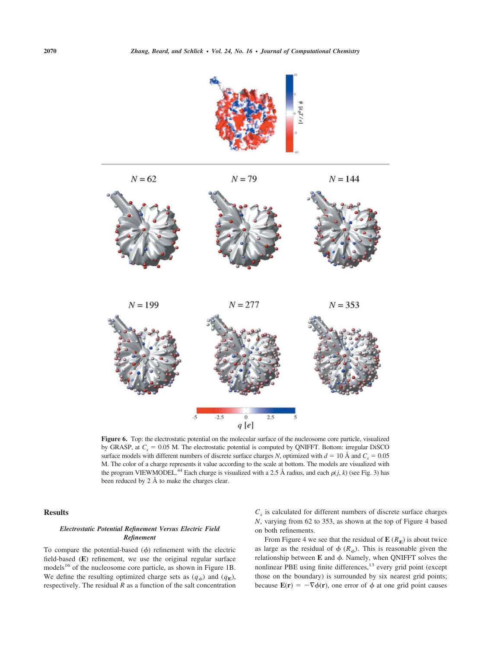





**Figure 6.** Top: the electrostatic potential on the molecular surface of the nucleosome core particle, visualized by GRASP, at  $C_s = 0.05$  M. The electrostatic potential is computed by QNIFFT. Bottom: irregular DiSCO surface models with different numbers of discrete surface charges *N*, optimized with  $d = 10 \text{ Å}$  and  $C_s = 0.05$ M. The color of a charge represents it value according to the scale at bottom. The models are visualized with the program VIEWMODEL.<sup>44</sup> Each charge is visualized with a 2.5 Å radius, and each  $\rho(j, k)$  (see Fig. 3) has been reduced by 2 Å to make the charges clear.

# **Results**

#### *Electrostatic Potential Refinement Versus Electric Field Refinement*

To compare the potential-based  $(\phi)$  refinement with the electric field-based (**E**) refinement, we use the original regular surface models<sup>16</sup> of the nucleosome core particle, as shown in Figure 1B. We define the resulting optimized charge sets as  $(q_{\phi})$  and  $(q_{\mathbf{E}})$ , respectively. The residual *R* as a function of the salt concentration

 $C_s$  is calculated for different numbers of discrete surface charges *N*, varying from 62 to 353, as shown at the top of Figure 4 based on both refinements.

From Figure 4 we see that the residual of  $E(R_E)$  is about twice as large as the residual of  $\phi$  ( $R_{\phi}$ ). This is reasonable given the relationship between  $E$  and  $\phi$ . Namely, when QNIFFT solves the nonlinear PBE using finite differences,<sup>13</sup> every grid point (except those on the boundary) is surrounded by six nearest grid points; because  $\mathbf{E}(\mathbf{r}) = -\nabla \phi(\mathbf{r})$ , one error of  $\phi$  at one grid point causes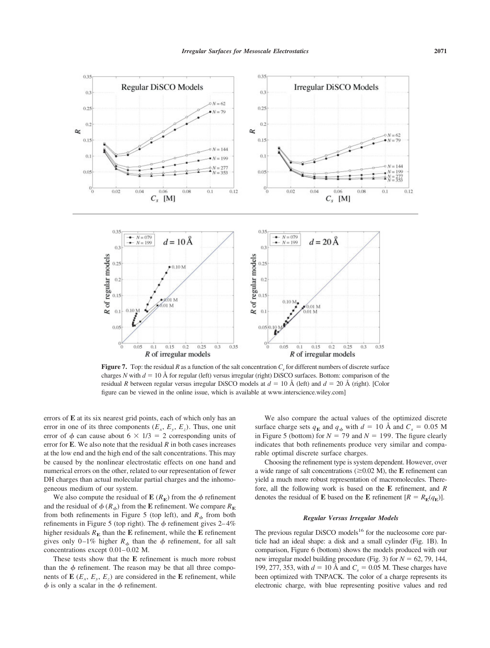

**Figure 7.** Top: the residual  $R$  as a function of the salt concentration  $C_s$  for different numbers of discrete surface charges *N* with  $d = 10$  Å for regular (left) versus irregular (right) DiSCO surfaces. Bottom: comparison of the residual *R* between regular versus irregular DiSCO models at  $d = 10 \text{ Å}$  (left) and  $d = 20 \text{ Å}$  (right). [Color figure can be viewed in the online issue, which is available at www.interscience.wiley.com]

errors of **E** at its six nearest grid points, each of which only has an error in one of its three components  $(E_x, E_y, E_z)$ . Thus, one unit error of  $\phi$  can cause about 6  $\times$  1/3 = 2 corresponding units of error for **E**. We also note that the residual *R* in both cases increases at the low end and the high end of the salt concentrations. This may be caused by the nonlinear electrostatic effects on one hand and numerical errors on the other, related to our representation of fewer DH charges than actual molecular partial charges and the inhomogeneous medium of our system.

We also compute the residual of **E** ( $R$ **E**) from the  $\phi$  refinement and the residual of  $\phi$  ( $R_{\phi}$ ) from the **E** refinement. We compare  $R_{\mathbf{E}}$ from both refinements in Figure 5 (top left), and  $R<sub>4</sub>$  from both refinements in Figure 5 (top right). The  $\phi$  refinement gives 2–4% higher residuals  $R<sub>E</sub>$  than the **E** refinement, while the **E** refinement gives only 0–1% higher  $R_{\phi}$  than the  $\phi$  refinement, for all salt concentrations except 0.01–0.02 M.

These tests show that the **E** refinement is much more robust than the  $\phi$  refinement. The reason may be that all three components of  $E(E_x, E_y, E_z)$  are considered in the  $E$  refinement, while  $\phi$  is only a scalar in the  $\phi$  refinement.

We also compare the actual values of the optimized discrete surface charge sets  $q_E$  and  $q_\phi$  with  $d = 10 \text{ Å}$  and  $C_s = 0.05 \text{ M}$ in Figure 5 (bottom) for  $N = 79$  and  $N = 199$ . The figure clearly indicates that both refinements produce very similar and comparable optimal discrete surface charges.

Choosing the refinement type is system dependent. However, over a wide range of salt concentrations  $(\geq 0.02 \text{ M})$ , the **E** refinement can yield a much more robust representation of macromolecules. Therefore, all the following work is based on the **E** refinement, and *R* denotes the residual of **E** based on the **E** refinement  $[R = R_{\mathbf{E}}(q_{\mathbf{E}})].$ 

#### *Regular Versus Irregular Models*

The previous regular DiSCO models<sup>16</sup> for the nucleosome core particle had an ideal shape: a disk and a small cylinder (Fig. 1B). In comparison, Figure 6 (bottom) shows the models produced with our new irregular model building procedure (Fig. 3) for  $N = 62, 79, 144$ , 199, 277, 353, with  $d = 10 \text{ Å}$  and  $C_s = 0.05 \text{ M}$ . These charges have been optimized with TNPACK. The color of a charge represents its electronic charge, with blue representing positive values and red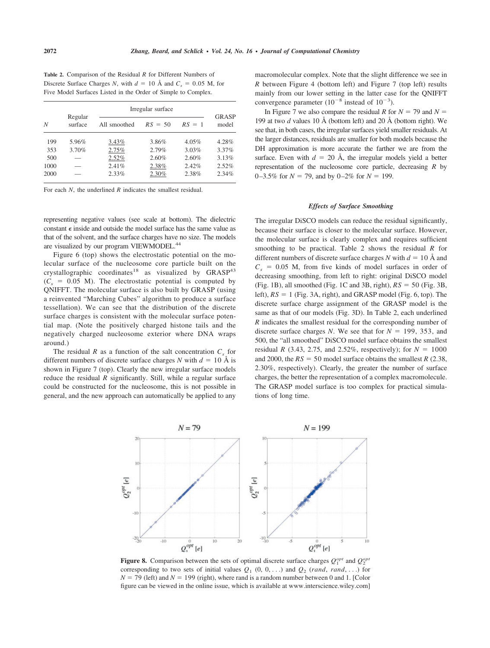**Table 2.** Comparison of the Residual *R* for Different Numbers of Discrete Surface Charges *N*, with  $d = 10 \text{ Å}$  and  $C_s = 0.05 \text{ M}$ , for Five Model Surfaces Listed in the Order of Simple to Complex.

|      |                    | Irregular surface |           |          |                       |  |
|------|--------------------|-------------------|-----------|----------|-----------------------|--|
| N    | Regular<br>surface | All smoothed      | $RS = 50$ | $RS = 1$ | <b>GRASP</b><br>model |  |
| 199  | 5.96%              | 3.43%             | 3.86%     | $4.05\%$ | 4.28%                 |  |
| 353  | 3.70%              | 2.75%             | 2.79%     | 3.03%    | 3.37%                 |  |
| 500  |                    | 2.52%             | 2.60%     | 2.60%    | 3.13%                 |  |
| 1000 |                    | 2.41%             | 2.38%     | 2.42%    | 2.52%                 |  |
| 2000 |                    | 2.33%             | 2.30%     | 2.38%    | 2.34%                 |  |

For each *N*, the underlined *R* indicates the smallest residual.

representing negative values (see scale at bottom). The dielectric constant  $\epsilon$  inside and outside the model surface has the same value as that of the solvent, and the surface charges have no size. The models are visualized by our program VIEWMODEL.<sup>44</sup>

Figure 6 (top) shows the electrostatic potential on the molecular surface of the nucleosome core particle built on the crystallographic coordinates<sup>18</sup> as visualized by  $GRASP<sup>43</sup>$  $(C<sub>s</sub> = 0.05 M)$ . The electrostatic potential is computed by QNIFFT. The molecular surface is also built by GRASP (using a reinvented "Marching Cubes" algorithm to produce a surface tessellation). We can see that the distribution of the discrete surface charges is consistent with the molecular surface potential map. (Note the positively charged histone tails and the negatively charged nucleosome exterior where DNA wraps around.)

The residual *R* as a function of the salt concentration  $C_s$  for different numbers of discrete surface charges *N* with  $d = 10 \text{ Å}$  is shown in Figure 7 (top). Clearly the new irregular surface models reduce the residual *R* significantly. Still, while a regular surface could be constructed for the nucleosome, this is not possible in general, and the new approach can automatically be applied to any

macromolecular complex. Note that the slight difference we see in *R* between Figure 4 (bottom left) and Figure 7 (top left) results mainly from our lower setting in the latter case for the QNIFFT convergence parameter  $(10^{-8} \text{ instead of } 10^{-3})$ .

In Figure 7 we also compare the residual *R* for  $N = 79$  and  $N =$ 199 at two *d* values 10 Å (bottom left) and 20 Å (bottom right). We see that, in both cases, the irregular surfaces yield smaller residuals. At the larger distances, residuals are smaller for both models because the DH approximation is more accurate the farther we are from the surface. Even with  $d = 20$  Å, the irregular models yield a better representation of the nucleosome core particle, decreasing *R* by 0–3.5% for  $N = 79$ , and by 0–2% for  $N = 199$ .

#### *Effects of Surface Smoothing*

The irregular DiSCO models can reduce the residual significantly, because their surface is closer to the molecular surface. However, the molecular surface is clearly complex and requires sufficient smoothing to be practical. Table 2 shows the residual *R* for different numbers of discrete surface charges *N* with  $d = 10 \text{ Å}$  and  $C<sub>s</sub> = 0.05$  M, from five kinds of model surfaces in order of decreasing smoothing, from left to right: original DiSCO model (Fig. 1B), all smoothed (Fig. 1C and 3B, right),  $RS = 50$  (Fig. 3B, left),  $RS = 1$  (Fig. 3A, right), and GRASP model (Fig. 6, top). The discrete surface charge assignment of the GRASP model is the same as that of our models (Fig. 3D). In Table 2, each underlined *R* indicates the smallest residual for the corresponding number of discrete surface charges *N*. We see that for  $N = 199, 353,$  and 500, the "all smoothed" DiSCO model surface obtains the smallest residual *R* (3.43, 2.75, and 2.52%, respectively); for  $N = 1000$ and 2000, the  $RS = 50$  model surface obtains the smallest *R* (2.38, 2.30%, respectively). Clearly, the greater the number of surface charges, the better the representation of a complex macromolecule. The GRASP model surface is too complex for practical simulations of long time.



**Figure 8.** Comparison between the sets of optimal discrete surface charges  $Q_1^{opt}$  and  $Q_2^{opt}$ corresponding to two sets of initial values  $Q_1$  (0, 0, ...) and  $Q_2$  (*rand*, *rand*, ...) for  $N = 79$  (left) and  $N = 199$  (right), where rand is a random number between 0 and 1. [Color figure can be viewed in the online issue, which is available at www.interscience.wiley.com]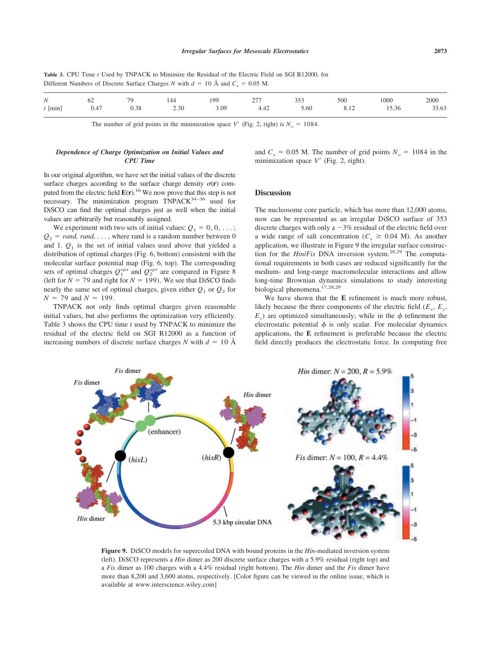**Table 3.** CPU Time *t* Used by TNPACK to Minimize the Residual of the Electric Field on SGI R12000, for Different Numbers of Discrete Surface Charges *N* with  $d = 10 \text{ Å}$  and  $C_s = 0.05 \text{ M}$ .

| $\boldsymbol{N}$ | υ∠   | 7C                     | 144  | 1 <sub>QC</sub> | $\sim$<br><u>_</u> | 353  | 500  | 1000                | 2000                          |
|------------------|------|------------------------|------|-----------------|--------------------|------|------|---------------------|-------------------------------|
| $t$ [min]        | 0.47 | $\sim$ $\sim$<br>U. 38 | 2.30 | 3.09            | 4.4Z               | 5.60 | 0.14 | $\sim$ 0.4<br>15.56 | $\sqrt{2}$<br>$\sim$<br>33.63 |

The number of grid points in the minimization space *V*<sup> $\prime$ </sup> (Fig. 2, right) is  $N_v = 1084$ .

## *Dependence of Charge Optimization on Initial Values and CPU Time*

and  $C_s = 0.05$  M. The number of grid points  $N_v = 1084$  in the minimization space  $V'$  (Fig. 2, right).

# In our original algorithm, we have set the initial values of the discrete surface charges according to the surface charge density  $\sigma(\mathbf{r})$  computed from the electric field  $E(r)$ .<sup>16</sup> We now prove that this step is not necessary. The minimization program  $TNPACK^{34-36}$  used for DiSCO can find the optimal charges just as well when the initial values are arbitrarily but reasonably assigned.

We experiment with two sets of initial values:  $Q_1 = 0, 0, \ldots;$  $Q_2$  = *rand, rand, ...,* where rand is a random number between 0 and 1.  $Q_1$  is the set of initial values used above that yielded a distribution of optimal charges (Fig. 6, bottom) consistent with the molecular surface potential map (Fig. 6, top). The corresponding sets of optimal charges  $Q_1^{opt}$  and  $Q_2^{opt}$  are compared in Figure 8 (left for  $N = 79$  and right for  $N = 199$ ). We see that DiSCO finds nearly the same set of optimal charges, given either  $Q_1$  or  $Q_2$  for  $N = 79$  and  $N = 199$ .

TNPACK not only finds optimal charges given reasonable initial values, but also performs the optimization very efficiently. Table 3 shows the CPU time *t* used by TNPACK to minimize the residual of the electric field on SGI R12000 as a function of increasing numbers of discrete surface charges *N* with  $d = 10$  Å

# **Discussion**

The nucleosome core particle, which has more than 12,000 atoms, now can be represented as an irregular DiSCO surface of 353 discrete charges with only a  $\sim$ 3% residual of the electric field over a wide range of salt concentration ( $C_s \geq 0.04$  M). As another application, we illustrate in Figure 9 the irregular surface construction for the *Hin*/*Fis* DNA inversion system.28,29 The computational requirements in both cases are reduced significantly for the medium- and long-range macromolecular interactions and allow long-time Brownian dynamics simulations to study interesting biological phenomena.<sup>17,28,29</sup>

We have shown that the **E** refinement is much more robust, likely because the three components of the electric field  $(E_r, E_v,$  $E<sub>z</sub>$ ) are optimized simultaneously; while in the  $\phi$  refinement the electrostatic potential  $\phi$  is only scalar. For molecular dynamics applications, the **E** refinement is preferable because the electric field directly produces the electrostatic force. In computing free



**Figure 9.** DiSCO models for supercoiled DNA with bound proteins in the *Hin*-mediated inversion system (left). DiSCO represents a *Hin* dimer as 200 discrete surface charges with a 5.9% residual (right top) and a *Fis* dimer as 100 charges with a 4.4% residual (right bottom). The *Hin* dimer and the *Fis* dimer have more than 8,200 and 3,600 atoms, respectively. [Color figure can be viewed in the online issue, which is available at www.interscience.wiley.com]